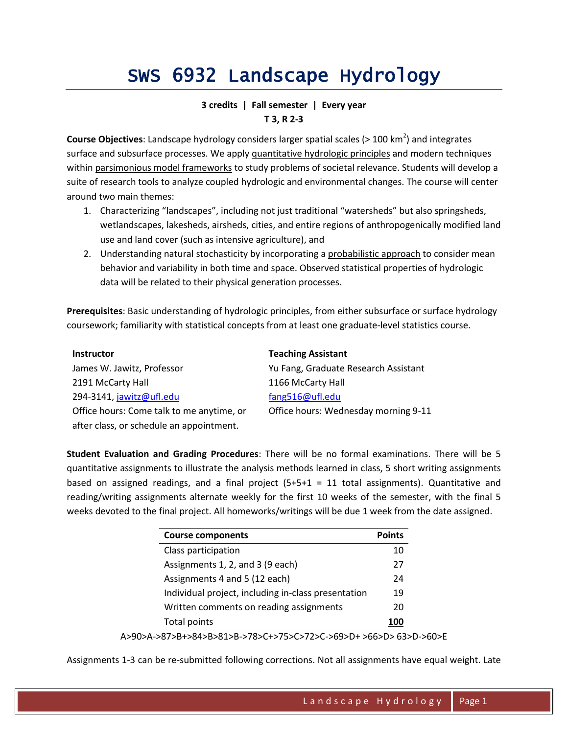## SWS 6932 Landscape Hydrology

## **3 credits | Fall semester | Every year T 3, R 2-3**

**Course Objectives**: Landscape hydrology considers larger spatial scales (> 100 km<sup>2</sup>) and integrates surface and subsurface processes. We apply quantitative hydrologic principles and modern techniques within parsimonious model frameworks to study problems of societal relevance. Students will develop a suite of research tools to analyze coupled hydrologic and environmental changes. The course will center around two main themes:

- 1. Characterizing "landscapes", including not just traditional "watersheds" but also springsheds, wetlandscapes, lakesheds, airsheds, cities, and entire regions of anthropogenically modified land use and land cover (such as intensive agriculture), and
- 2. Understanding natural stochasticity by incorporating a probabilistic approach to consider mean behavior and variability in both time and space. Observed statistical properties of hydrologic data will be related to their physical generation processes.

**Prerequisites**: Basic understanding of hydrologic principles, from either subsurface or surface hydrology coursework; familiarity with statistical concepts from at least one graduate-level statistics course.

| <b>Instructor</b>                         | <b>Teaching Assistant</b>            |
|-------------------------------------------|--------------------------------------|
| James W. Jawitz, Professor                | Yu Fang, Graduate Research Assistant |
| 2191 McCarty Hall                         | 1166 McCarty Hall                    |
| 294-3141, jawitz@ufl.edu                  | fang516@ufl.edu                      |
| Office hours: Come talk to me anytime, or | Office hours: Wednesday morning 9-11 |
| after class, or schedule an appointment.  |                                      |

**Student Evaluation and Grading Procedures**: There will be no formal examinations. There will be 5 quantitative assignments to illustrate the analysis methods learned in class, 5 short writing assignments based on assigned readings, and a final project  $(5+5+1 = 11$  total assignments). Quantitative and reading/writing assignments alternate weekly for the first 10 weeks of the semester, with the final 5 weeks devoted to the final project. All homeworks/writings will be due 1 week from the date assigned.

| <b>Course components</b>                            | <b>Points</b> |
|-----------------------------------------------------|---------------|
| Class participation                                 | 10            |
| Assignments 1, 2, and 3 (9 each)                    | 27            |
| Assignments 4 and 5 (12 each)                       | 24            |
| Individual project, including in-class presentation | 19            |
| Written comments on reading assignments             | 20            |
| <b>Total points</b>                                 |               |

A>90>A->87>B+>84>B>81>B->78>C+>75>C>72>C->69>D+ >66>D> 63>D->60>E

Assignments 1-3 can be re-submitted following corrections. Not all assignments have equal weight. Late